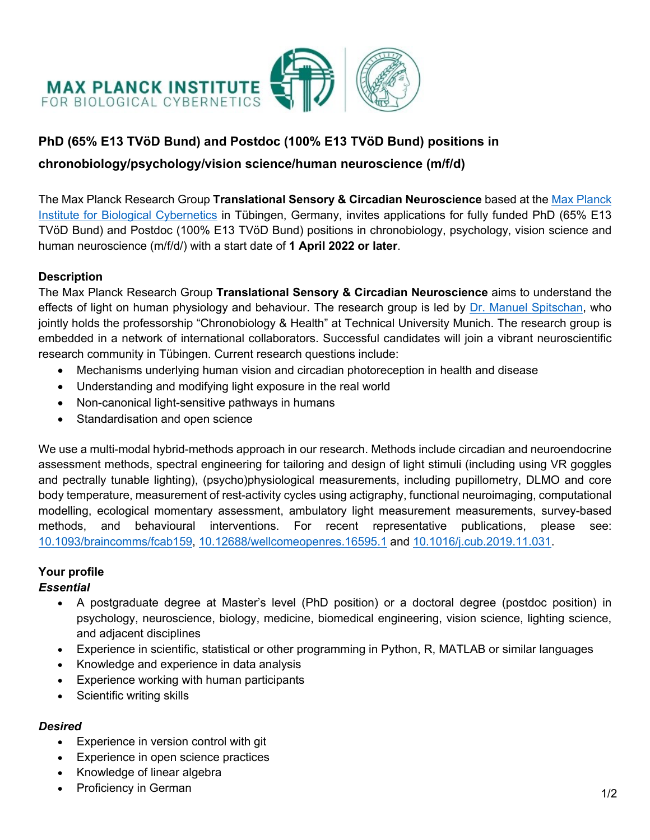

# **PhD (65% E13 TVöD Bund) and Postdoc (100% E13 TVöD Bund) positions in**

# **chronobiology/psychology/vision science/human neuroscience (m/f/d)**

The Max Planck Research Group **Translational Sensory & Circadian Neuroscience** based at the Max Planck Institute for Biological Cybernetics in Tübingen, Germany, invites applications for fully funded PhD (65% E13 TVöD Bund) and Postdoc (100% E13 TVöD Bund) positions in chronobiology, psychology, vision science and human neuroscience (m/f/d/) with a start date of **1 April 2022 or later**.

#### **Description**

The Max Planck Research Group **Translational Sensory & Circadian Neuroscience** aims to understand the effects of light on human physiology and behaviour. The research group is led by Dr. Manuel Spitschan, who jointly holds the professorship "Chronobiology & Health" at Technical University Munich. The research group is embedded in a network of international collaborators. Successful candidates will join a vibrant neuroscientific research community in Tübingen. Current research questions include:

- Mechanisms underlying human vision and circadian photoreception in health and disease
- Understanding and modifying light exposure in the real world
- Non-canonical light-sensitive pathways in humans
- Standardisation and open science

We use a multi-modal hybrid-methods approach in our research. Methods include circadian and neuroendocrine assessment methods, spectral engineering for tailoring and design of light stimuli (including using VR goggles and pectrally tunable lighting), (psycho)physiological measurements, including pupillometry, DLMO and core body temperature, measurement of rest-activity cycles using actigraphy, functional neuroimaging, computational modelling, ecological momentary assessment, ambulatory light measurement measurements, survey-based methods, and behavioural interventions. For recent representative publications, please see: 10.1093/braincomms/fcab159, 10.12688/wellcomeopenres.16595.1 and 10.1016/j.cub.2019.11.031.

### **Your profile**

### *Essential*

- A postgraduate degree at Master's level (PhD position) or a doctoral degree (postdoc position) in psychology, neuroscience, biology, medicine, biomedical engineering, vision science, lighting science, and adjacent disciplines
- Experience in scientific, statistical or other programming in Python, R, MATLAB or similar languages
- Knowledge and experience in data analysis
- Experience working with human participants
- Scientific writing skills

### *Desired*

- Experience in version control with git
- Experience in open science practices
- Knowledge of linear algebra
- Proficiency in German